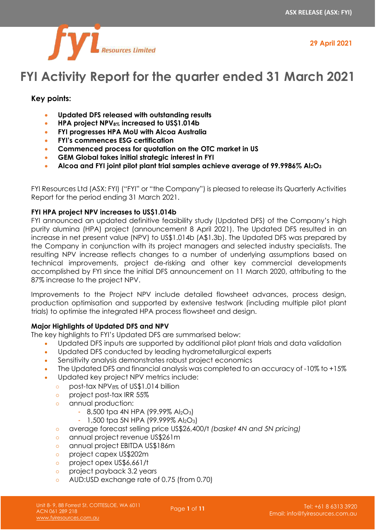

**29 April 2021**

# **FYI Activity Report for the quarter ended 31 March 2021**

# **Key points:**

- **Updated DFS released with outstanding results**
- **HPA project NPV8% increased to US\$1.014b**
- **FYI progresses HPA MoU with Alcoa Australia**
- **FYI's commences ESG certification**
- **Commenced process for quotation on the OTC market in US**
- **GEM Global takes initial strategic interest in FYI**
- **Alcoa and FYI joint pilot plant trial samples achieve average of 99.9986% Al2O<sup>3</sup>**

FYI Resources Ltd (ASX: FYI) ("FYI" or "the Company") is pleased to release its Quarterly Activities Report for the period ending 31 March 2021.

# **FYI HPA project NPV increases to US\$1.014b**

FYI announced an updated definitive feasibility study (Updated DFS) of the Company's high purity alumina (HPA) project (announcement 8 April 2021). The Updated DFS resulted in an increase in net present value (NPV) to US\$1.014b (A\$1.3b). The Updated DFS was prepared by the Company in conjunction with its project managers and selected industry specialists. The resulting NPV increase reflects changes to a number of underlying assumptions based on technical improvements, project de-risking and other key commercial developments accomplished by FYI since the initial DFS announcement on 11 March 2020, attributing to the 87% increase to the project NPV.

Improvements to the Project NPV include detailed flowsheet advances, process design, production optimisation and supported by extensive testwork (including multiple pilot plant trials) to optimise the integrated HPA process flowsheet and design.

# **Major Highlights of Updated DFS and NPV**

The key highlights to FYI's Updated DFS are summarised below:

- Updated DFS inputs are supported by additional pilot plant trials and data validation
- Updated DFS conducted by leading hydrometallurgical experts
- Sensitivity analysis demonstrates robust project economics
- The Updated DFS and financial analysis was completed to an accuracy of -10% to +15%
- Updated key project NPV metrics include:
	- o post-tax NPV<sub>8%</sub> of US\$1.014 billion
	- o project post-tax IRR 55%
	- o annual production:
		- **-** 8,500 tpa 4N HPA (99.99% Al2O3)
		- **-** 1,500 tpa 5N HPA (99.999% Al2O3)
	- o average forecast selling price US\$26,400/t *(basket 4N and 5N pricing)*
	- o annual project revenue US\$261m
	- o annual project EBITDA US\$186m
	- o project capex US\$202m
	- o project opex US\$6,661/t
	- o project payback 3.2 years
	- o AUD:USD exchange rate of 0.75 (from 0.70)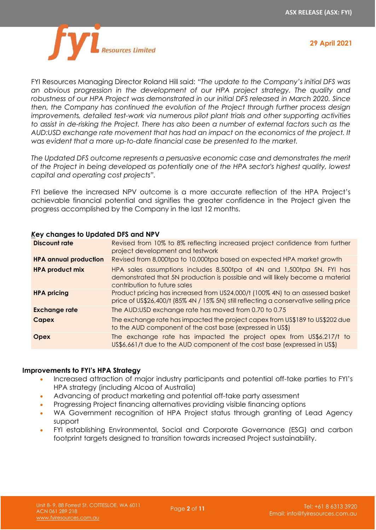

**29 April 2021**

FYI Resources Managing Director Roland Hill said: *"The update to the Company's initial DFS was an obvious progression in the development of our HPA project strategy. The quality and robustness of our HPA Project was demonstrated in our initial DFS released in March 2020. Since then, the Company has continued the evolution of the Project through further process design improvements, detailed test-work via numerous pilot plant trials and other supporting activities to assist in de-risking the Project. There has also been a number of external factors such as the AUD:USD exchange rate movement that has had an impact on the economics of the project. It was evident that a more up-to-date financial case be presented to the market.*

*The Updated DFS outcome represents a persuasive economic case and demonstrates the merit of the Project in being developed as potentially one of the HPA sector's highest quality, lowest capital and operating cost projects".*

FYI believe the increased NPV outcome is a more accurate reflection of the HPA Project's achievable financial potential and signifies the greater confidence in the Project given the progress accomplished by the Company in the last 12 months.

| <b>Revigible</b> to opdated bis and Mr. <b>Y</b> |                                                                                                                                                                                         |  |  |  |
|--------------------------------------------------|-----------------------------------------------------------------------------------------------------------------------------------------------------------------------------------------|--|--|--|
| <b>Discount rate</b>                             | Revised from 10% to 8% reflecting increased project confidence from further<br>project development and testwork                                                                         |  |  |  |
| <b>HPA annual production</b>                     | Revised from 8,000tpa to 10,000tpa based on expected HPA market growth                                                                                                                  |  |  |  |
| <b>HPA product mix</b>                           | HPA sales assumptions includes 8,500tpa of 4N and 1,500tpa 5N. FYI has<br>demonstrated that 5N production is possible and will likely become a material<br>contribution to future sales |  |  |  |
| <b>HPA pricing</b>                               | Product pricing has increased from US24,000/t (100% 4N) to an assessed basket<br>price of US\$26,400/t (85% 4N / 15% 5N) still reflecting a conservative selling price                  |  |  |  |
| <b>Exchange rate</b>                             | The AUD:USD exchange rate has moved from 0.70 to 0.75                                                                                                                                   |  |  |  |
| <b>Capex</b>                                     | The exchange rate has impacted the project capex from US\$189 to US\$202 due<br>to the AUD component of the cost base (expressed in US\$)                                               |  |  |  |
| <b>Opex</b>                                      | The exchange rate has impacted the project opex from US\$6,217/t to<br>US\$6,661/t due to the AUD component of the cost base (expressed in US\$)                                        |  |  |  |

# *K***ey changes to Updated DFS and NPV**

#### **Improvements to FYI's HPA Strategy**

- Increased attraction of major industry participants and potential off-take parties to FYI's HPA strategy (including Alcoa of Australia)
- Advancing of product marketing and potential off-take party assessment
- Progressing Project financing alternatives providing visible financing options
- WA Government recognition of HPA Project status through granting of Lead Agency support
- FYI establishing Environmental, Social and Corporate Governance (ESG) and carbon footprint targets designed to transition towards increased Project sustainability.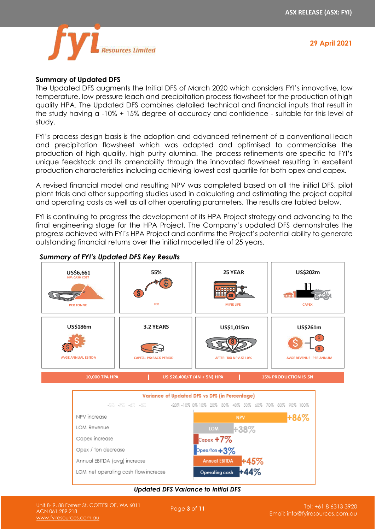

# **Summary of Updated DFS**

The Updated DFS augments the Initial DFS of March 2020 which considers FYI's innovative, low temperature, low pressure leach and precipitation process flowsheet for the production of high quality HPA. The Updated DFS combines detailed technical and financial inputs that result in the study having a -10% + 15% degree of accuracy and confidence - suitable for this level of study.

FYI's process design basis is the adoption and advanced refinement of a conventional leach and precipitation flowsheet which was adapted and optimised to commercialise the production of high quality, high purity alumina. The process refinements are specific to FYI's unique feedstock and its amenability through the innovated flowsheet resulting in excellent production characteristics including achieving lowest cost quartile for both opex and capex.

A revised financial model and resulting NPV was completed based on all the initial DFS, pilot plant trials and other supporting studies used in calculating and estimating the project capital and operating costs as well as all other operating parameters. The results are tabled below.

FYI is continuing to progress the development of its HPA Project strategy and advancing to the final engineering stage for the HPA Project. The Company's updated DFS demonstrates the progress achieved with FYI's HPA Project and confirms the Project's potential ability to generate outstanding financial returns over the initial modelled life of 25 years.



# *Summary of FYI's Updated DFS Key Results*



#### *Updated DFS Variance to Initial DFS*

Page **<sup>3</sup>** of **<sup>11</sup>** Unit 8- 9, 88 Forrest St, COTTESLOE, WA 6011 ACN 061 289 218 [www.fyiresources.com.au](http://www.fyiresources.com.au/)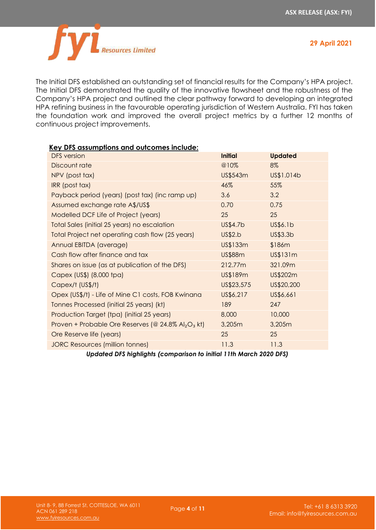

The Initial DFS established an outstanding set of financial results for the Company's HPA project. The Initial DFS demonstrated the quality of the innovative flowsheet and the robustness of the Company's HPA project and outlined the clear pathway forward to developing an integrated HPA refining business in the favourable operating jurisdiction of Western Australia. FYI has taken the foundation work and improved the overall project metrics by a further 12 months of continuous project improvements.

| <b>Key DFS assumptions and outcomes include:</b>      |                |                |
|-------------------------------------------------------|----------------|----------------|
| <b>DFS</b> version                                    | <b>Initial</b> | <b>Updated</b> |
| Discount rate                                         | @10%           | 8%             |
| NPV (post tax)                                        | US\$543m       | US\$1.014b     |
| IRR (post tax)                                        | 46%            | 55%            |
| Payback period (years) (post tax) (inc ramp up)       | 3.6            | 3.2            |
| Assumed exchange rate A\$/US\$                        | 0.70           | 0.75           |
| Modelled DCF Life of Project (years)                  | 25             | 25             |
| Total Sales (initial 25 years) no escalation          | US\$4.7b       | US\$6.1b       |
| Total Project net operating cash flow (25 years)      | US\$2.b        | US\$3.3b       |
| Annual EBITDA (average)                               | US\$133m       | \$186m         |
| Cash flow after finance and tax                       | <b>US\$88m</b> | US\$131m       |
| Shares on issue (as at publication of the DFS)        | 212.77m        | 321.09m        |
| Capex (US\$) (8,000 tpa)                              | US\$189m       | US\$202m       |
| Capex/t (US\$/t)                                      | US\$23,575     | US\$20,200     |
| Opex (US\$/t) - Life of Mine C1 costs, FOB Kwinana    | US\$6,217      | US\$6,661      |
| Tonnes Processed (initial 25 years) (kt)              | 189            | 247            |
| Production Target (tpa) (initial 25 years)            | 8,000          | 10,000         |
| Proven + Probable Ore Reserves (@ 24.8% $Al_2O_3$ kt) | 3,205m         | 3,205m         |
| Ore Reserve life (years)                              | 25             | 25             |
| <b>JORC Resources (million tonnes)</b>                | 11.3           | 11.3           |
|                                                       |                |                |

*Updated DFS highlights (comparison to initial 11th March 2020 DFS)*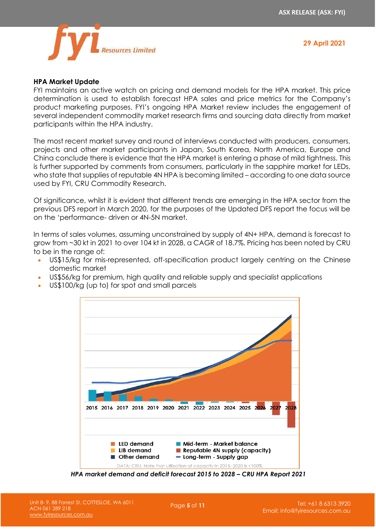

#### **HPA Market Update**

FYI maintains an active watch on pricing and demand models for the HPA market. This price determination is used to establish forecast HPA sales and price metrics for the Company's product marketing purposes. FYI's ongoing HPA Market review includes the engagement of several independent commodity market research firms and sourcing data directly from market participants within the HPA industry.

The most recent market survey and round of interviews conducted with producers, consumers, projects and other market participants in Japan, South Korea, North America, Europe and China conclude there is evidence that the HPA market is entering a phase of mild tightness. This is further supported by comments from consumers, particularly in the sapphire market for LEDs, who state that supplies of reputable 4N HPA is becoming limited – according to one data source used by FYI, CRU Commodity Research.

Of significance, whilst it is evident that different trends are emerging in the HPA sector from the previous DFS report in March 2020, for the purposes of the Updated DFS report the focus will be on the 'performance- driven or 4N-5N market.

In terms of sales volumes, assuming unconstrained by supply of 4N+ HPA, demand is forecast to grow from ~30 kt in 2021 to over 104 kt in 2028, a CAGR of 18.7%. Pricing has been noted by CRU to be in the range of:

- US\$15/kg for mis-represented, off-specification product largely centring on the Chinese domestic market
- US\$56/kg for premium, high quality and reliable supply and specialist applications



• US\$100/kg (up to) for spot and small parcels

*HPA market demand and deficit forecast 2015 to 2028 – CRU HPA Report 2021*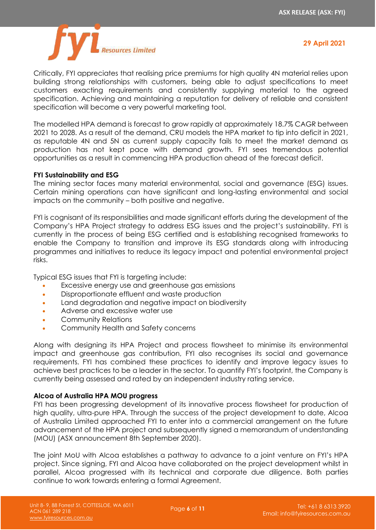

Critically, FYI appreciates that realising price premiums for high quality 4N material relies upon building strong relationships with customers, being able to adjust specifications to meet customers exacting requirements and consistently supplying material to the agreed specification. Achieving and maintaining a reputation for delivery of reliable and consistent specification will become a very powerful marketing tool.

The modelled HPA demand is forecast to grow rapidly at approximately 18.7% CAGR between 2021 to 2028. As a result of the demand, CRU models the HPA market to tip into deficit in 2021, as reputable 4N and 5N as current supply capacity fails to meet the market demand as production has not kept pace with demand growth. FYI sees tremendous potential opportunities as a result in commencing HPA production ahead of the forecast deficit.

# **FYI Sustainability and ESG**

The mining sector faces many material environmental, social and governance (ESG) issues. Certain mining operations can have significant and long-lasting environmental and social impacts on the community – both positive and negative.

FYI is cognisant of its responsibilities and made significant efforts during the development of the Company's HPA Project strategy to address ESG issues and the project's sustainability. FYI is currently in the process of being ESG certified and is establishing recognised frameworks to enable the Company to transition and improve its ESG standards along with introducing programmes and initiatives to reduce its legacy impact and potential environmental project risks.

Typical ESG issues that FYI is targeting include:

- Excessive energy use and greenhouse gas emissions
- Disproportionate effluent and waste production
- Land degradation and negative impact on biodiversity
- Adverse and excessive water use
- Community Relations
- Community Health and Safety concerns

Along with designing its HPA Project and process flowsheet to minimise its environmental impact and greenhouse gas contribution, FYI also recognises its social and governance requirements. FYI has combined these practices to identify and improve legacy issues to achieve best practices to be a leader in the sector. To quantify FYI's footprint, the Company is currently being assessed and rated by an independent industry rating service.

# **Alcoa of Australia HPA MOU progress**

FYI has been progressing development of its innovative process flowsheet for production of high quality, ultra-pure HPA. Through the success of the project development to date, Alcoa of Australia Limited approached FYI to enter into a commercial arrangement on the future advancement of the HPA project and subsequently signed a memorandum of understanding (MOU) (ASX announcement 8th September 2020).

The joint MoU with Alcoa establishes a pathway to advance to a joint venture on FYI's HPA project. Since signing, FYI and Alcoa have collaborated on the project development whilst in parallel, Alcoa progressed with its technical and corporate due diligence. Both parties continue to work towards entering a formal Agreement.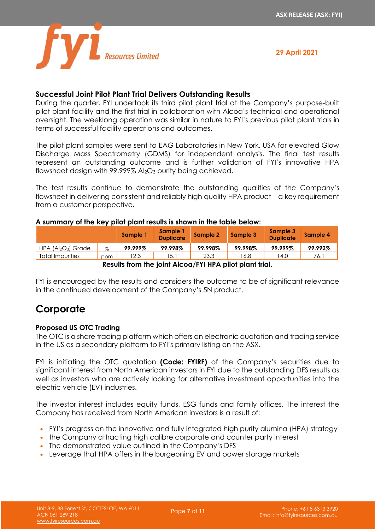

# **Successful Joint Pilot Plant Trial Delivers Outstanding Results**

During the quarter, FYI undertook its third pilot plant trial at the Company's purpose-built pilot plant facility and the first trial in collaboration with Alcoa's technical and operational oversight. The weeklong operation was similar in nature to FYI's previous pilot plant trials in terms of successful facility operations and outcomes.

The pilot plant samples were sent to EAG Laboratories in New York, USA for elevated Glow Discharge Mass Spectrometry (GDMS) for independent analysis. The final test results represent an outstanding outcome and is further validation of FYI's innovative HPA flowsheet design with 99.999% Al<sub>2</sub>O<sub>3</sub> purity being achieved.

The test results continue to demonstrate the outstanding qualities of the Company's flowsheet in delivering consistent and reliably high quality HPA product – a key requirement from a customer perspective.

# **A summary of the key pilot plant results is shown in the table below:**

|                                                        |      | Sample 1 | Sample 1<br><b>Duplicate</b> | Sample 2 | Sample 3 | Sample 3<br><b>Duplicate</b> | Sample 4 |
|--------------------------------------------------------|------|----------|------------------------------|----------|----------|------------------------------|----------|
| $HPA (A _2O_3)$ Grade                                  | $\%$ | 99.999%  | 99.998%                      | 99.998%  | 99.998%  | 99.999%                      | 99.992%  |
| Total Impurities                                       | ppm  | 12.3     | 15.1                         | 23.3     | 16.8     | 14.0                         | 76.1     |
| Desults from the islat Aless (CVLUDA wilst plant tried |      |          |                              |          |          |                              |          |

**Results from the joint Alcoa/FYI HPA pilot plant trial.**

FYI is encouraged by the results and considers the outcome to be of significant relevance in the continued development of the Company's 5N product.

# **Corporate**

# **Proposed US OTC Trading**

The OTC is a share trading platform which offers an electronic quotation and trading service in the US as a secondary platform to FYI's primary listing on the ASX.

FYI is initiating the OTC quotation **(Code: FYIRF)** of the Company's securities due to significant interest from North American investors in FYI due to the outstanding DFS results as well as investors who are actively looking for alternative investment opportunities into the electric vehicle (EV) industries.

The investor interest includes equity funds, ESG funds and family offices. The interest the Company has received from North American investors is a result of:

- FYI's progress on the innovative and fully integrated high purity alumina (HPA) strategy
- the Company attracting high calibre corporate and counter party interest
- The demonstrated value outlined in the Company's DFS
- Leverage that HPA offers in the burgeoning EV and power storage markets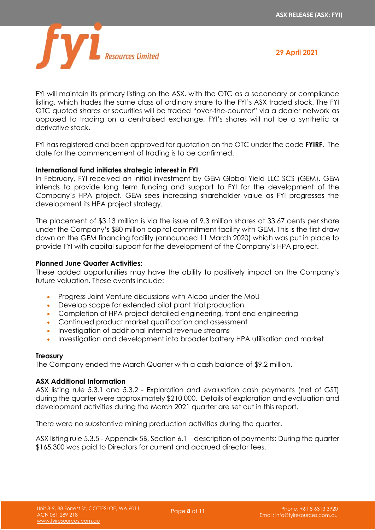

FYI will maintain its primary listing on the ASX, with the OTC as a secondary or compliance listing, which trades the same class of ordinary share to the FYI's ASX traded stock. The FYI OTC quoted shares or securities will be traded "over-the-counter" via a dealer network as opposed to trading on a centralised exchange. FYI's shares will not be a synthetic or derivative stock.

FYI has registered and been approved for quotation on the OTC under the code **FYIRF**. The date for the commencement of trading is to be confirmed.

# **International fund initiates strategic interest in FYI**

In February, FYI received an initial investment by GEM Global Yield LLC SCS (GEM). GEM intends to provide long term funding and support to FYI for the development of the Company's HPA project. GEM sees increasing shareholder value as FYI progresses the development its HPA project strategy.

The placement of \$3.13 million is via the issue of 9.3 million shares at 33.67 cents per share under the Company's \$80 million capital commitment facility with GEM. This is the first draw down on the GEM financing facility (announced 11 March 2020) which was put in place to provide FYI with capital support for the development of the Company's HPA project.

# **Planned June Quarter Activities:**

These added opportunities may have the ability to positively impact on the Company's future valuation. These events include:

- Progress Joint Venture discussions with Alcoa under the MoU
- Develop scope for extended pilot plant trial production
- Completion of HPA project detailed engineering, front end engineering
- Continued product market qualification and assessment
- Investigation of additional internal revenue streams
- Investigation and development into broader battery HPA utilisation and market

#### **Treasury**

The Company ended the March Quarter with a cash balance of \$9.2 million.

# **ASX Additional Information**

ASX listing rule 5.3.1 and 5.3.2 - Exploration and evaluation cash payments (net of GST) during the quarter were approximately \$210,000. Details of exploration and evaluation and development activities during the March 2021 quarter are set out in this report.

There were no substantive mining production activities during the quarter.

ASX listing rule 5.3.5 - Appendix 5B, Section 6.1 – description of payments: During the quarter \$165,300 was paid to Directors for current and accrued director fees.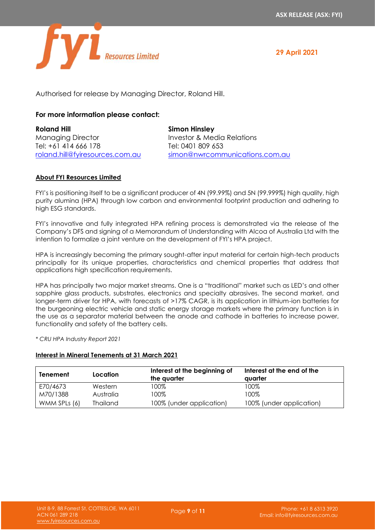

**29 April 2021**

Authorised for release by Managing Director, Roland Hill.

# **For more information please contact:**

| <b>Roland Hill</b>              | <b>Simon Hinsley</b>           |
|---------------------------------|--------------------------------|
| <b>Managing Director</b>        | Investor & Media Relations     |
| Tel: +61 414 666 178            | Tel: 0401 809 653              |
| roland.hill@fyiresources.com.au | simon@nwrcommunications.com.au |

#### **About FYI Resources Limited**

FYI's is positioning itself to be a significant producer of 4N (99.99%) and 5N (99.999%) high quality, high purity alumina (HPA) through low carbon and environmental footprint production and adhering to high ESG standards.

FYI's innovative and fully integrated HPA refining process is demonstrated via the release of the Company's DFS and signing of a Memorandum of Understanding with Alcoa of Australia Ltd with the intention to formalize a joint venture on the development of FYI's HPA project.

HPA is increasingly becoming the primary sought-after input material for certain high-tech products principally for its unique properties, characteristics and chemical properties that address that applications high specification requirements.

HPA has principally two major market streams. One is a "traditional" market such as LED's and other sapphire glass products, substrates, electronics and specialty abrasives. The second market, and longer-term driver for HPA, with forecasts of >17% CAGR, is its application in lithium-ion batteries for the burgeoning electric vehicle and static energy storage markets where the primary function is in the use as a separator material between the anode and cathode in batteries to increase power, functionality and safety of the battery cells.

*\* CRU HPA Industry Report 2021*

#### **Interest in Mineral Tenements at 31 March 2021**

| Tenement     | Location        | Interest at the beginning of<br>the quarter | Interest at the end of the<br>avarter |
|--------------|-----------------|---------------------------------------------|---------------------------------------|
| E70/4673     | Western         | 100%                                        | 100%                                  |
| M70/1388     | Australia       | 100%                                        | 100%                                  |
| WMM SPLs (6) | <b>Thailand</b> | 100% (under application)                    | 100% (under application)              |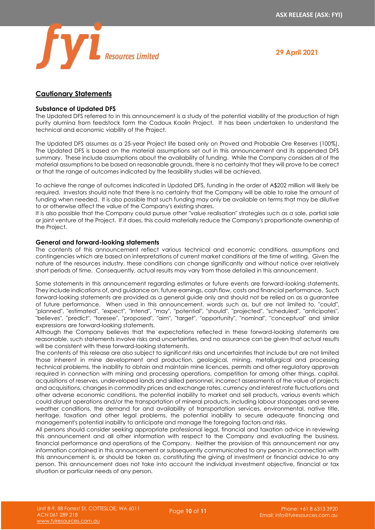

#### **Cautionary Statements**

#### **Substance of Updated DFS**

The Updated DFS referred to in this announcement is a study of the potential viability of the production of high purity alumina from feedstock form the Cadoux Kaolin Project. It has been undertaken to understand the technical and economic viability of the Project.

The Updated DFS assumes as a 25-year Project life based only on Proved and Probable Ore Reserves (100%). The Updated DFS is based on the material assumptions set out in this announcement and its appended DFS summary. These include assumptions about the availability of funding. While the Company considers all of the material assumptions to be based on reasonable grounds, there is no certainty that they will prove to be correct or that the range of outcomes indicated by the feasibility studies will be achieved.

To achieve the range of outcomes indicated in Updated DFS, funding in the order of A\$202 million will likely be required. Investors should note that there is no certainty that the Company will be able to raise the amount of funding when needed. It is also possible that such funding may only be available on terms that may be dilutive to or otherwise affect the value of the Company's existing shares.

It is also possible that the Company could pursue other "value realisation" strategies such as a sale, partial sale or joint venture of the Project. If it does, this could materially reduce the Company's proportionate ownership of the Project.

#### **General and forward-looking statements**

The contents of this announcement reflect various technical and economic conditions, assumptions and contingencies which are based on interpretations of current market conditions at the time of writing. Given the nature of the resources industry, these conditions can change significantly and without notice over relatively short periods of time. Consequently, actual results may vary from those detailed in this announcement.

Some statements in this announcement regarding estimates or future events are forward-looking statements. They include indications of, and guidance on, future earnings, cash flow, costs and financial performance. Such forward-looking statements are provided as a general guide only and should not be relied on as a guarantee of future performance. When used in this announcement, words such as, but are not limited to, "could", "planned", "estimated", "expect", "intend", "may", "potential", "should", "projected", "scheduled", "anticipates", "believes", "predict", "foresee", "proposed", "aim", "target", "opportunity", "nominal", "conceptual" and similar expressions are forward-looking statements.

Although the Company believes that the expectations reflected in these forward-looking statements are reasonable, such statements involve risks and uncertainties, and no assurance can be given that actual results will be consistent with these forward-looking statements.

The contents of this release are also subject to significant risks and uncertainties that include but are not limited those inherent in mine development and production, geological, mining, metallurgical and processing technical problems, the inability to obtain and maintain mine licences, permits and other regulatory approvals required in connection with mining and processing operations, competition for among other things, capital, acquisitions of reserves, undeveloped lands and skilled personnel, incorrect assessments of the value of projects and acquisitions, changes in commodity prices and exchange rates, currency and interest rate fluctuations and other adverse economic conditions, the potential inability to market and sell products, various events which could disrupt operations and/or the transportation of mineral products, including labour stoppages and severe weather conditions, the demand for and availability of transportation services, environmental, native title, heritage, taxation and other legal problems, the potential inability to secure adequate financing and management's potential inability to anticipate and manage the foregoing factors and risks.

All persons should consider seeking appropriate professional legal, financial and taxation advice in reviewing this announcement and all other information with respect to the Company and evaluating the business, financial performance and operations of the Company. Neither the provision of this announcement nor any information contained in this announcement or subsequently communicated to any person in connection with this announcement is, or should be taken as, constituting the giving of investment or financial advice to any person. This announcement does not take into account the individual investment objective, financial or tax situation or particular needs of any person.